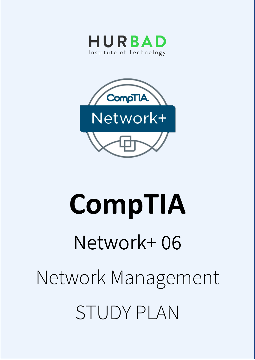



# **CompTIA**  Network+ 06 Network Management STUDY PLAN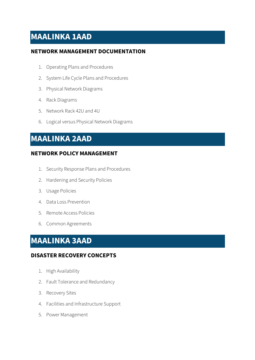## **MAALINKA 1AAD**

#### **NETWORK MANAGEMENT DOCUMENTATION**

- 1. Operating Plans and Procedures
- 2. System Life Cycle Plans and Procedures
- 3. Physical Network Diagrams
- 4. Rack Diagrams
- 5. Network Rack 42U and 4U
- 6. Logical versus Physical Network Diagrams

## **MAALINKA 2AAD**

#### **NETWORK POLICY MANAGEMENT**

- 1. Security Response Plans and Procedures
- 2. Hardening and Security Policies
- 3. Usage Policies
- 4. Data Loss Prevention
- 5. Remote Access Policies
- 6. Common Agreements

## **MAALINKA 3AAD**

#### **DISASTER RECOVERY CONCEPTS**

- 1. High Availability
- 2. Fault Tolerance and Redundancy
- 3. Recovery Sites
- 4. Facilities and Infrastructure Support
- 5. Power Management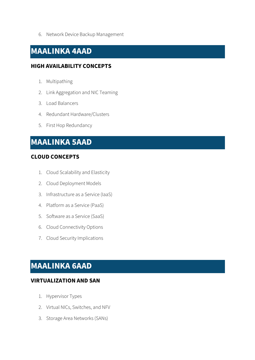6. Network Device Backup Management

## **MAALINKA 4AAD**

#### **HIGH AVAILABILITY CONCEPTS**

- 1. Multipathing
- 2. Link Aggregation and NIC Teaming
- 3. Load Balancers
- 4. Redundant Hardware/Clusters
- 5. First Hop Redundancy

## **MAALINKA 5AAD**

#### **CLOUD CONCEPTS**

- 1. Cloud Scalability and Elasticity
- 2. Cloud Deployment Models
- 3. Infrastructure as a Service (IaaS)
- 4. Platform as a Service (PaaS)
- 5. Software as a Service (SaaS)
- 6. Cloud Connectivity Options
- 7. Cloud Security Implications

## **MAALINKA 6AAD**

#### **VIRTUALIZATION AND SAN**

- 1. Hypervisor Types
- 2. Virtual NICs, Switches, and NFV
- 3. Storage Area Networks (SANs)